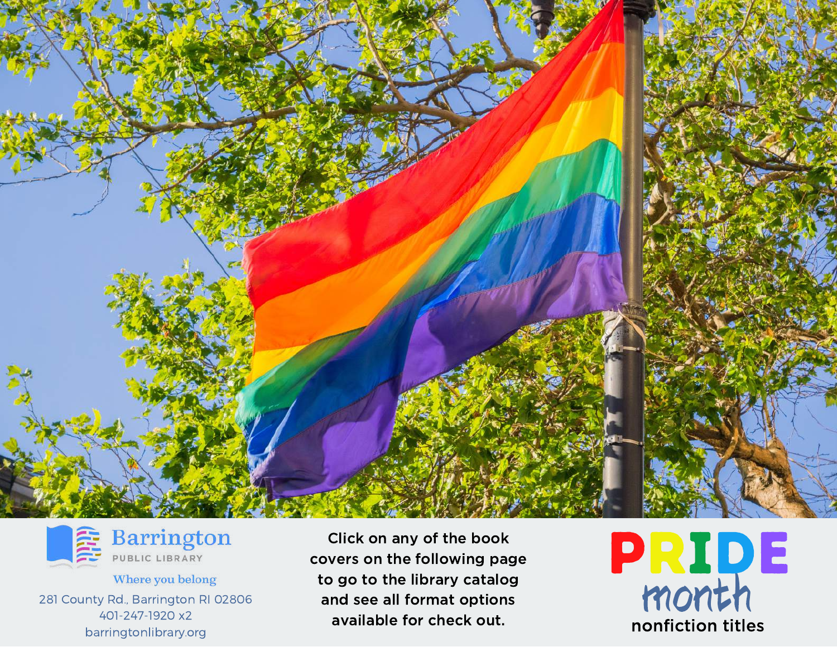



**Barrington** 

Where you belong 281 County Rd., Barrington RI 02806 401-247-1920 x2 barringtonlibrary.org

Click on any of the book covers on the following page to go to the library catalog and see all format options available for check out.

**PRIDE** nonfiction titles